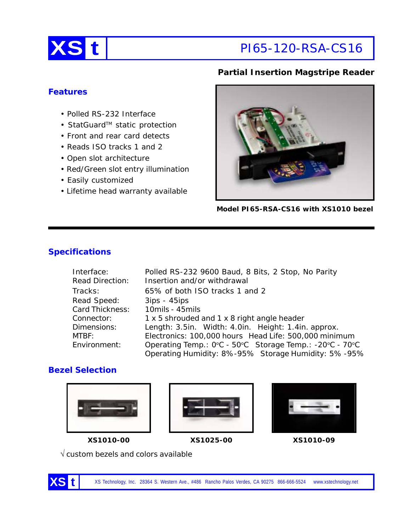

# **Partial Insertion Magstripe Reader**

# **Features**

- Polled RS-232 Interface
- StatGuard™ static protection
- Front and rear card detects
- Reads ISO tracks 1 and 2
- Open slot architecture
- Red/Green slot entry illumination
- Easily customized
- Lifetime head warranty available



**Model PI65-RSA-CS16 with XS1010 bezel**

# **Specifications**

| Interface:             | Polled RS-232 9600 Baud, 8 Bits, 2 Stop, No Parity      |  |  |
|------------------------|---------------------------------------------------------|--|--|
| <b>Read Direction:</b> | Insertion and/or withdrawal                             |  |  |
| Tracks:                | 65% of both ISO tracks 1 and 2                          |  |  |
| Read Speed:            | $3ips - 45ips$                                          |  |  |
| Card Thickness:        | 10mils - 45mils                                         |  |  |
| Connector:             | 1 x 5 shrouded and 1 x 8 right angle header             |  |  |
| Dimensions:            | Length: 3.5in. Width: 4.0in. Height: 1.4in. approx.     |  |  |
| MTBF:                  | Electronics: 100,000 hours Head Life: 500,000 minimum   |  |  |
| Environment:           | Operating Temp.: 0°C - 50°C Storage Temp.: -20°C - 70°C |  |  |
|                        | Operating Humidity: 8%-95% Storage Humidity: 5%-95%     |  |  |

# **Bezel Selection**







**XS1010-00 XS1025-00 XS1010-09**

 $\sqrt{\rm}$  custom bezels and colors available